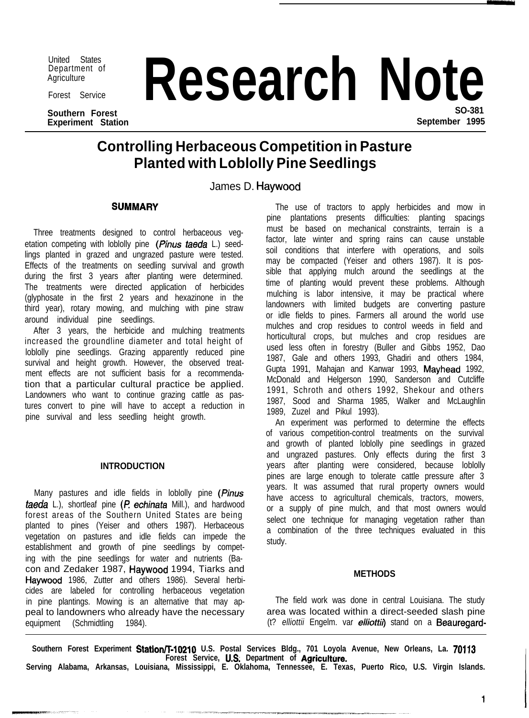United States Department of **Agriculture** 

**Southern Forest Experiment Station**

# Pepartment of **Research Note SO-381**

# **Controlling Herbaceous Competition in Pasture Planted with Loblolly Pine Seedlings**

James D. Haywood

# **SUMMARY**

Three treatments designed to control herbaceous vegetation competing with loblolly pine (Pinus *taeda* L.) seedlings planted in grazed and ungrazed pasture were tested. Effects of the treatments on seedling survival and growth during the first 3 years after planting were determined. The treatments were directed application of herbicides (glyphosate in the first 2 years and hexazinone in the third year), rotary mowing, and mulching with pine straw around individual pine seedlings.

After 3 years, the herbicide and mulching treatments increased the groundline diameter and total height of loblolly pine seedlings. Grazing apparently reduced pine survival and height growth. However, the observed treatment effects are not sufficient basis for a recommendation that a particular cultural practice be applied. Landowners who want to continue grazing cattle as pastures convert to pine will have to accept a reduction in pine survival and less seedling height growth.

# **INTRODUCTION**

Many pastures and idle fields in loblolly pine (*Pinus* taeda L.), shortleaf pine (P. echinata Mill.), and hardwood forest areas of the Southern United States are being planted to pines (Yeiser and others 1987). Herbaceous vegetation on pastures and idle fields can impede the establishment and growth of pine seedlings by competing with the pine seedlings for water and nutrients (Bacon and Zedaker 1987, Haywood 1994, Tiarks and Haywood 1986, Zutter and others 1986). Several herbicides are labeled for controlling herbaceous vegetation in pine plantings. Mowing is an alternative that may appeal to landowners who already have the necessary equipment (Schmidtling 1984).

The use of tractors to apply herbicides and mow in pine plantations presents difficulties: planting spacings must be based on mechanical constraints, terrain is a factor, late winter and spring rains can cause unstable soil conditions that interfere with operations, and soils may be compacted (Yeiser and others 1987). It is possible that applying mulch around the seedlings at the time of planting would prevent these problems. Although mulching is labor intensive, it may be practical where landowners with limited budgets are converting pasture or idle fields to pines. Farmers all around the world use mulches and crop residues to control weeds in field and horticultural crops, but mulches and crop residues are used less often in forestry (Buller and Gibbs 1952, Dao 1987, Gale and others 1993, Ghadiri and others 1984, Gupta 1991, Mahajan and Kanwar 1993, Mayhead 1992, McDonald and Helgerson 1990, Sanderson and Cutcliffe 1991, Schroth and others 1992, Shekour and others 1987, Sood and Sharma 1985, Walker and McLaughlin 1989, Zuzel and Pikul 1993).

**September 1995**

An experiment was performed to determine the effects of various competition-control treatments on the survival and growth of planted loblolly pine seedlings in grazed and ungrazed pastures. Only effects during the first 3 years after planting were considered, because loblolly pines are large enough to tolerate cattle pressure after 3 years. It was assumed that rural property owners would have access to agricultural chemicals, tractors, mowers, or a supply of pine mulch, and that most owners would select one technique for managing vegetation rather than a combination of the three techniques evaluated in this study.

#### **METHODS**

The field work was done in central Louisiana. The study area was located within a direct-seeded slash pine (t? *elliottii* Engelm. var *elliottii)* stand on a Beauregard-

**Southern Forest Experiment Station/T-l0210 U.S. Postal Services Bldg., 701 Loyola Avenue, New Orleans, La. 70113 Forest Service, U.S; Department of Agricultirre.**

**Serving Alabama, Arkansas, Louisiana, Mississippi, E. Oklahoma, Tennessee, E. Texas, Puerto Rico, U.S. Virgin Islands.**

 $\ddagger$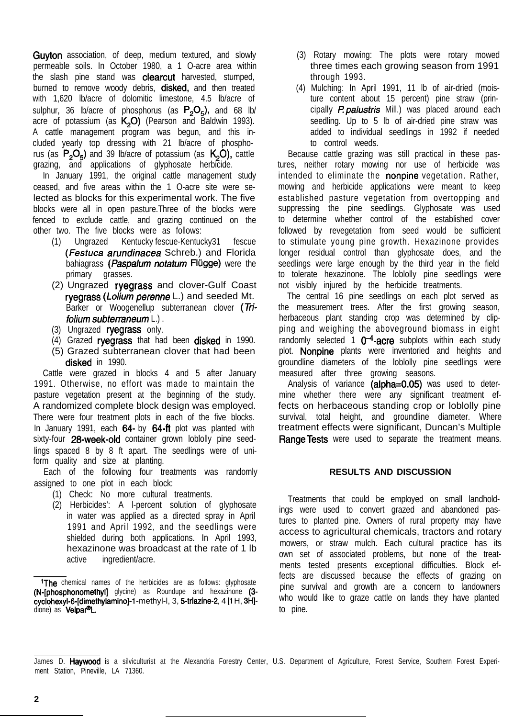Guyton association, of deep, medium textured, and slowly permeable soils. In October 1980, a 1 O-acre area within the slash pine stand was **clearcut** harvested, stumped, burned to remove woody debris, disked, and then treated with 1,620 lb/acre of dolomitic limestone, 4.5 lb/acre of sulphur, 36 lb/acre of phosphorus (as  $P_2O_5$ ), and 68 lb/ acre of potassium (as  $K<sub>2</sub>O$ ) (Pearson and Baldwin 1993). A cattle management program was begun, and this included yearly top dressing with 21 lb/acre of phosphorus (as  $P_2O_5$ ) and 39 lb/acre of potassium (as  $K_2O$ ), cattle grazing, and applications of glyphosate herbicide.

In January 1991, the original cattle management study ceased, and five areas within the 1 O-acre site were selected as blocks for this experimental work. The five blocks were all in open pasture.Three of the blocks were fenced to exclude cattle, and grazing continued on the other two. The five blocks were as follows:

- (1) Ungrazed Kentucky fescue-Kentucky31 fescue (Festuca arundinacea Schreb.) and Florida bahiagrass (Paspalum notatum Flügge) were the primary grasses.
- (2) Ungrazed ryegrass and clover-Gulf Coast rvegrass (*Lolium perenne* L.) and seeded Mt. Barker or Woogenellup subterranean clover (Tri*folium subterraneum* L.) .
- (3) Ungrazed ryegrass only.
- (4) Grazed ryegrass that had been disked in 1990.
- (5) Grazed subterranean clover that had been disked in 1990.

Cattle were grazed in blocks 4 and 5 after January 1991. Otherwise, no effort was made to maintain the pasture vegetation present at the beginning of the study. A randomized complete block design was employed. There were four treatment plots in each of the five blocks. In January 1991, each 64- by 64-ft plot was planted with sixty-four 28-week-old container grown loblolly pine seedlings spaced 8 by 8 ft apart. The seedlings were of uniform quality and size at planting.

Each of the following four treatments was randomly assigned to one plot in each block:

- (1) Check: No more cultural treatments.
- (2) Herbicides': A l-percent solution of glyphosate in water was applied as a directed spray in April 1991 and April 1992, and the seedlings were shielded during both applications. In April 1993, hexazinone was broadcast at the rate of 1 lb active ingredient/acre.
- (3) Rotary mowing: The plots were rotary mowed three times each growing season from 1991 through 1993.
- (4) Mulching: In April 1991, 11 lb of air-dried (moisture content about 15 percent) pine straw (principally *P. palustris* Mill.) was placed around each seedling. Up to 5 lb of air-dried pine straw was added to individual seedlings in 1992 if needed to control weeds.

Because cattle grazing was still practical in these pastures, neither rotary mowing nor use of herbicide was intended to eliminate the nonpine vegetation. Rather, mowing and herbicide applications were meant to keep established pasture vegetation from overtopping and suppressing the pine seedlings. Glyphosate was used to determine whether control of the established cover followed by revegetation from seed would be sufficient to stimulate young pine growth. Hexazinone provides longer residual control than glyphosate does, and the seedlings were large enough by the third year in the field to tolerate hexazinone. The loblolly pine seedlings were not visibly injured by the herbicide treatments.

The central 16 pine seedlings on each plot served as the measurement trees. After the first growing season, herbaceous plant standing crop was determined by clipping and weighing the aboveground biomass in eight randomly selected 1  $0^{-4}$ -acre subplots within each study plot. Nonpine plants were inventoried and heights and groundline diameters of the loblolly pine seedlings were measured after three growing seasons.

Analysis of variance (alpha=0.05) was used to determine whether there were any significant treatment effects on herbaceous standing crop or loblolly pine survival, total height, and groundline diameter. Where treatment effects were significant, Duncan's Multiple Range Tests were used to separate the treatment means.

# **RESULTS AND DISCUSSION**

Treatments that could be employed on small landholdings were used to convert grazed and abandoned pastures to planted pine. Owners of rural property may have access to agricultural chemicals, tractors and rotary mowers, or straw mulch. Each cultural practice has its own set of associated problems, but none of the treatments tested presents exceptional difficulties. Block effects are discussed because the effects of grazing on pine survival and growth are a concern to landowners who would like to graze cattle on lands they have planted to pine.

<sup>&</sup>lt;sup>1</sup>The chemical names of the herbicides are as follows: glyphosate (N-[phosphonomethyl] glycine) as Roundupe and hexazinone (3cyclohexyl-6-[dimethylamino]-1-methyl-l, 3, 5-triazine-2, 4 [1H, 3H]dione) as **Velpar<sup>®</sup>L**.

James D. Haywood is a silviculturist at the Alexandria Forestry Center, U.S. Department of Agriculture, Forest Service, Southern Forest Experiment Station, Pineville, LA 71360.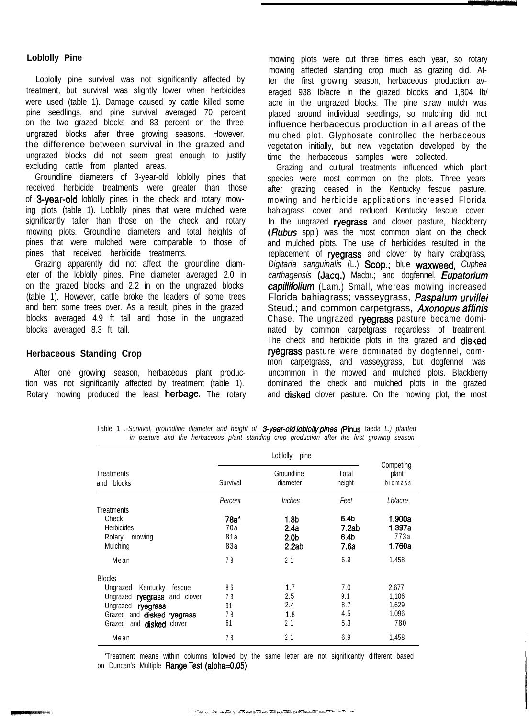### **Loblolly Pine**

Loblolly pine survival was not significantly affected by treatment, but survival was slightly lower when herbicides were used (table 1). Damage caused by cattle killed some pine seedlings, and pine survival averaged 70 percent on the two grazed blocks and 83 percent on the three ungrazed blocks after three growing seasons. However, the difference between survival in the grazed and ungrazed blocks did not seem great enough to justify excluding cattle from planted areas.

Groundline diameters of 3-year-old loblolly pines that received herbicide treatments were greater than those of 3-year-old loblolly pines in the check and rotary mowing plots (table 1). Loblolly pines that were mulched were significantly taller than those on the check and rotary mowing plots. Groundline diameters and total heights of pines that were mulched were comparable to those of pines that received herbicide treatments.

Grazing apparently did not affect the groundline diameter of the loblolly pines. Pine diameter averaged 2.0 in on the grazed blocks and 2.2 in on the ungrazed blocks (table 1). However, cattle broke the leaders of some trees and bent some trees over. As a result, pines in the grazed blocks averaged 4.9 ft tall and those in the ungrazed blocks averaged 8.3 ft tall.

# **Herbaceous Standing Crop**

After one growing season, herbaceous plant production was not significantly affected by treatment (table 1). Rotary mowing produced the least herbage. The rotary

mowing plots were cut three times each year, so rotary mowing affected standing crop much as grazing did. After the first growing season, herbaceous production averaged 938 lb/acre in the grazed blocks and 1,804 lb/ acre in the ungrazed blocks. The pine straw mulch was placed around individual seedlings, so mulching did not influence herbaceous production in all areas of the mulched plot. Glyphosate controlled the herbaceous vegetation initially, but new vegetation developed by the time the herbaceous samples were collected.

Grazing and cultural treatments influenced which plant species were most common on the plots. Three years after grazing ceased in the Kentucky fescue pasture, mowing and herbicide applications increased Florida bahiagrass cover and reduced Kentucky fescue cover. In the ungrazed ryegrass and clover pasture, blackberry (**Rubus** spp.) was the most common plant on the check and mulched plots. The use of herbicides resulted in the replacement of ryegrass and clover by hairy crabgrass, *Digitaria sanguinalis* (L.) Scop.; blue waxweed, *Cuphea carthagensis* (Jacq.) Macbr.; and dogfennel, *Eupatorium capillifolium* (Lam.) Small, whereas mowing increased Florida bahiagrass; vasseygrass, *Paspalum urvillei* Steud.; and common carpetgrass, *Axonopus affinis* Chase. The ungrazed ryegrass pasture became dominated by common carpetgrass regardless of treatment. The check and herbicide plots in the grazed and disked ryegrass pasture were dominated by dogfennel, common carpetgrass, and vasseygrass, but dogfennel was uncommon in the mowed and mulched plots. Blackberry dominated the check and mulched plots in the grazed and disked clover pasture. On the mowing plot, the most

| Treatments<br>and blocks        | Loblolly<br>pine |                        |                  |                               |
|---------------------------------|------------------|------------------------|------------------|-------------------------------|
|                                 | Survival         | Groundline<br>diameter | Total<br>height  | Competing<br>plant<br>biomass |
|                                 | Percent          | <i><b>Inches</b></i>   | Feet             | Lb/acre                       |
| Treatments                      |                  |                        |                  |                               |
| Check                           | 78a*             | 1.8 <sub>b</sub>       | 6.4b             | 1,900a                        |
| <b>Herbicides</b>               | 70a              | 2.4a                   | 7.2ab            | 1.397a                        |
| Rotary<br>mowing                | 81a              | 2.0 <sub>b</sub>       | 6.4 <sub>b</sub> | 773a                          |
| Mulching                        | 83a              | 2.2ab                  | 7.6a             | 1.760a                        |
| Mean                            | 78               | 2.1                    | 6.9              | 1,458                         |
| <b>Blocks</b>                   |                  |                        |                  |                               |
| Kentucky<br>fescue<br>Ungrazed  | 86               | 1.7                    | 7.0              | 2,677                         |
| Ungrazed ryegrass and clover    | 73               | 2.5                    | 9.1              | 1,106                         |
| Ungrazed ryegrass               | 91               | 2.4                    | 8.7              | 1,629                         |
| Grazed and disked ryegrass      | 78               | 1.8                    | 4.5              | 1,096                         |
| Grazed and <b>disked</b> clover | 61               | 2.1                    | 5.3              | 780                           |
| Mean                            | 78               | 2.1                    | 6.9              | 1,458                         |
|                                 |                  |                        |                  |                               |

Table 1 *.-Survival, groundline diameter and height of 3-year-oldloblollypines* (Pinus taeda *L.) planted in pasture and the herbaceous p/ant standing crop production after the first growing season*

'Treatment means within columns followed by the same letter are not significantly different based on Duncan's Multiple Range Test (alpha=0.05).

ः<br>इत्यस्य एव विशेषाः अस्य स्थानं विशेषस्य अस्य अस्ति ।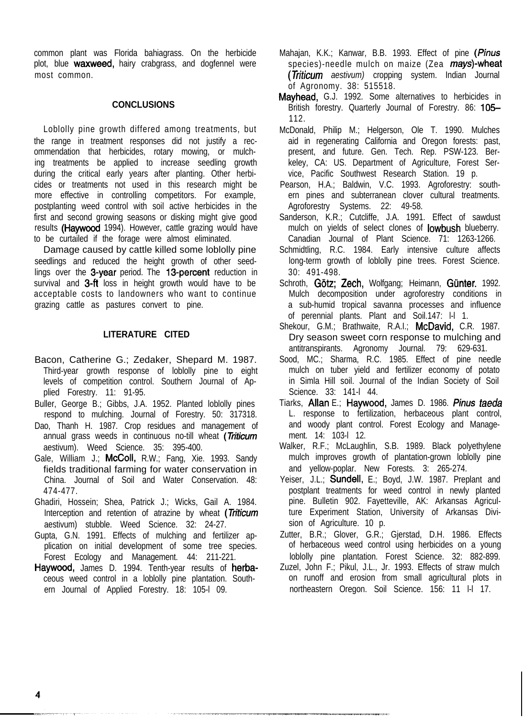common plant was Florida bahiagrass. On the herbicide plot, blue waxweed, hairy crabgrass, and dogfennel were most common.

# **CONCLUSIONS**

Loblolly pine growth differed among treatments, but the range in treatment responses did not justify a recommendation that herbicides, rotary mowing, or mulching treatments be applied to increase seedling growth during the critical early years after planting. Other herbicides or treatments not used in this research might be more effective in controlling competitors. For example, postplanting weed control with soil active herbicides in the first and second growing seasons or disking might give good results (Haywood 1994). However, cattle grazing would have to be curtailed if the forage were almost eliminated.

Damage caused by cattle killed some loblolly pine seedlings and reduced the height growth of other seedlings over the 3-year period. The 13-percent reduction in survival and 3-ft loss in height growth would have to be acceptable costs to landowners who want to continue grazing cattle as pastures convert to pine.

# **LITERATURE CITED**

- Bacon, Catherine G.; Zedaker, Shepard M. 1987. Third-year growth response of loblolly pine to eight levels of competition control. Southern Journal of Applied Forestry. 11: 91-95.
- Buller, George B.; Gibbs, J.A. 1952. Planted loblolly pines respond to mulching. Journal of Forestry. 50: 317318.
- Dao, Thanh H. 1987. Crop residues and management of annual grass weeds in continuous no-till wheat (Triticum aestivum). Weed Science. 35: 395-400.
- Gale, William J.; McColl, R.W.; Fang, Xie. 1993. Sandy fields traditional farming for water conservation in China. Journal of Soil and Water Conservation. 48: 474-477.
- Ghadiri, Hossein; Shea, Patrick J.; Wicks, Gail A. 1984. Interception and retention of atrazine by wheat (Triticum aestivum) stubble. Weed Science. 32: 24-27.
- Gupta, G.N. 1991. Effects of mulching and fertilizer application on initial development of some tree species. Forest Ecology and Management. 44: 211-221.
- Haywood, James D. 1994. Tenth-year results of herbaceous weed control in a loblolly pine plantation. Southern Journal of Applied Forestry. 18: 105-l 09.
- Mahajan, K.K.; Kanwar, B.B. 1993. Effect of pine *(Pinus* species)-needle mulch on maize (Zea *mays*)-wheat *(Trticum aestivum)* cropping system. Indian Journal of Agronomy. 38: 515518.
- Mayhead, G.J. 1992. Some alternatives to herbicides in British forestry. Quarterly Journal of Forestry. 86: 105-112.
- McDonald, Philip M.; Helgerson, Ole T. 1990. Mulches aid in regenerating California and Oregon forests: past, present, and future. Gen. Tech. Rep. PSW-123. Berkeley, CA: US. Department of Agriculture, Forest Service, Pacific Southwest Research Station. 19 p.
- Pearson, H.A.; Baldwin, V.C. 1993. Agroforestry: southern pines and subterranean clover cultural treatments. Agroforestry Systems. 22: 49-58.
- Sanderson, K.R.; Cutcliffe, J.A. 1991. Effect of sawdust mulch on yields of select clones of **lowbush** blueberry. Canadian Journal of Plant Science. 71: 1263-1266.
- Schmidtling, R.C. 1984. Early intensive culture affects long-term growth of loblolly pine trees. Forest Science. 30: 491-498.
- Schroth, Götz; Zech, Wolfgang; Heimann, Günter. 1992. Mulch decomposition under agroforestry conditions in a sub-humid tropical savanna processes and influence of perennial plants. Plant and Soil.147: l-l 1.
- Shekour, G.M.; Brathwaite, R.A.I.; McDavid, C.R. 1987. Dry season sweet corn response to mulching and antitranspirants. Agronomy Journal. 79: 629-631.
- Sood, MC.; Sharma, R.C. 1985. Effect of pine needle mulch on tuber yield and fertilizer economy of potato in Simla Hill soil. Journal of the Indian Society of Soil Science. 33: 141-l 44.
- Tiarks, Allan E.; Haywood, James D. 1986. *Pinus taeda* L. response to fertilization, herbaceous plant control, and woody plant control. Forest Ecology and Management. 14: 103-l 12.
- Walker, R.F.; McLaughlin, S.B. 1989. Black polyethylene mulch improves growth of plantation-grown loblolly pine and yellow-poplar. New Forests. 3: 265-274.
- Yeiser, J.L.; Sundell, E.; Boyd, J.W. 1987. Preplant and postplant treatments for weed control in newly planted pine. Bulletin 902. Fayetteville, AK: Arkansas Agriculture Experiment Station, University of Arkansas Division of Agriculture. 10 p.
- Zutter, B.R.; Glover, G.R.; Gjerstad, D.H. 1986. Effects of herbaceous weed control using herbicides on a young loblolly pine plantation. Forest Science. 32: 882-899.
- Zuzel, John F.; Pikul, J.L., Jr. 1993. Effects of straw mulch on runoff and erosion from small agricultural plots in northeastern Oregon. Soil Science. 156: 11 l-l 17.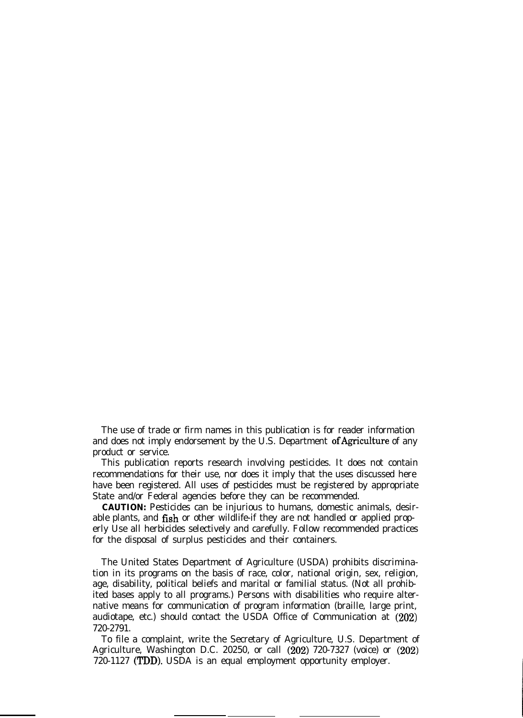The use of trade or firm names in this publication is for reader information and does not imply endorsement by the U.S. Department of Agriculture of any product or service.

This publication reports research involving pesticides. It does not contain recommendations for their use, nor does it imply that the uses discussed here have been registered. All uses of pesticides must be registered by appropriate State and/or Federal agencies before they can be recommended.

**CAUTION:** Pesticides can be injurious to humans, domestic animals, desirable plants, and fish or other wildlife-if they are not handled or applied properly Use all herbicides selectively and carefully. Follow recommended practices for the disposal of surplus pesticides and their containers.

The United States Department of Agriculture (USDA) prohibits discrimination in its programs on the basis of race, color, national origin, sex, religion, age, disability, political beliefs and marital or familial status. (Not all prohibited bases apply to all programs.) Persons with disabilities who require alternative means for communication of program information (braille, large print, audiotape, etc.) should contact the USDA Office of Communication at (202) 720-2791.

To file a complaint, write the Secretary of Agriculture, U.S. Department of Agriculture, Washington D.C. 20250, or call (202) 720-7327 (voice) or (202) 720-1127 (TDD). USDA is an equal employment opportunity employer.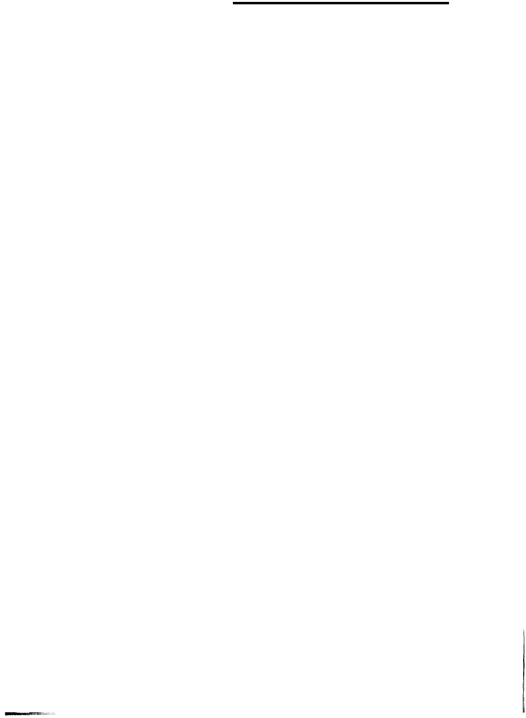(1987)